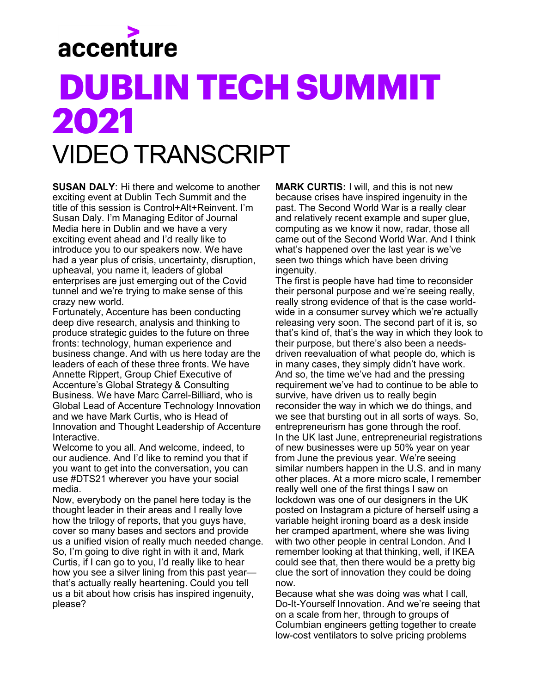

## **DUBLINTECH SUMMIT 2021** VIDEO TRANSCRIPT

**SUSAN DALY**: Hi there and welcome to another exciting event at Dublin Tech Summit and the title of this session is Control+Alt+Reinvent. I'm Susan Daly. I'm Managing Editor of Journal Media here in Dublin and we have a very exciting event ahead and I'd really like to introduce you to our speakers now. We have had a year plus of crisis, uncertainty, disruption, upheaval, you name it, leaders of global enterprises are just emerging out of the Covid tunnel and we're trying to make sense of this crazy new world.

Fortunately, Accenture has been conducting deep dive research, analysis and thinking to produce strategic guides to the future on three fronts: technology, human experience and business change. And with us here today are the leaders of each of these three fronts. We have Annette Rippert, Group Chief Executive of Accenture's Global Strategy & Consulting Business. We have Marc Carrel-Billiard, who is Global Lead of Accenture Technology Innovation and we have Mark Curtis, who is Head of Innovation and Thought Leadership of Accenture Interactive.

Welcome to you all. And welcome, indeed, to our audience. And I'd like to remind you that if you want to get into the conversation, you can use #DTS21 wherever you have your social media.

Now, everybody on the panel here today is the thought leader in their areas and I really love how the trilogy of reports, that you guys have, cover so many bases and sectors and provide us a unified vision of really much needed change. So, I'm going to dive right in with it and, Mark Curtis, if I can go to you, I'd really like to hear how you see a silver lining from this past year that's actually really heartening. Could you tell us a bit about how crisis has inspired ingenuity, please?

**MARK CURTIS:** I will, and this is not new because crises have inspired ingenuity in the past. The Second World War is a really clear and relatively recent example and super glue, computing as we know it now, radar, those all came out of the Second World War. And I think what's happened over the last year is we've seen two things which have been driving ingenuity.

The first is people have had time to reconsider their personal purpose and we're seeing really, really strong evidence of that is the case worldwide in a consumer survey which we're actually releasing very soon. The second part of it is, so that's kind of, that's the way in which they look to their purpose, but there's also been a needsdriven reevaluation of what people do, which is in many cases, they simply didn't have work. And so, the time we've had and the pressing requirement we've had to continue to be able to survive, have driven us to really begin reconsider the way in which we do things, and we see that bursting out in all sorts of ways. So, entrepreneurism has gone through the roof. In the UK last June, entrepreneurial registrations of new businesses were up 50% year on year from June the previous year. We're seeing similar numbers happen in the U.S. and in many other places. At a more micro scale, I remember really well one of the first things I saw on lockdown was one of our designers in the UK posted on Instagram a picture of herself using a variable height ironing board as a desk inside her cramped apartment, where she was living with two other people in central London. And I remember looking at that thinking, well, if IKEA could see that, then there would be a pretty big clue the sort of innovation they could be doing now.

Because what she was doing was what I call, Do-It-Yourself Innovation. And we're seeing that on a scale from her, through to groups of Columbian engineers getting together to create low-cost ventilators to solve pricing problems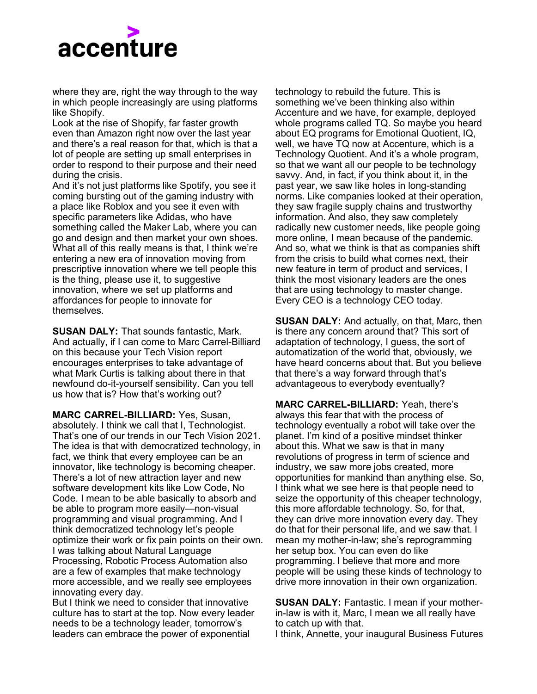

where they are, right the way through to the way in which people increasingly are using platforms like Shopify.

Look at the rise of Shopify, far faster growth even than Amazon right now over the last year and there's a real reason for that, which is that a lot of people are setting up small enterprises in order to respond to their purpose and their need during the crisis.

And it's not just platforms like Spotify, you see it coming bursting out of the gaming industry with a place like Roblox and you see it even with specific parameters like Adidas, who have something called the Maker Lab, where you can go and design and then market your own shoes. What all of this really means is that, I think we're entering a new era of innovation moving from prescriptive innovation where we tell people this is the thing, please use it, to suggestive innovation, where we set up platforms and affordances for people to innovate for themselves.

**SUSAN DALY:** That sounds fantastic, Mark. And actually, if I can come to Marc Carrel-Billiard on this because your Tech Vision report encourages enterprises to take advantage of what Mark Curtis is talking about there in that newfound do-it-yourself sensibility. Can you tell us how that is? How that's working out?

**MARC CARREL-BILLIARD:** Yes, Susan, absolutely. I think we call that I, Technologist. That's one of our trends in our Tech Vision 2021. The idea is that with democratized technology, in fact, we think that every employee can be an innovator, like technology is becoming cheaper. There's a lot of new attraction layer and new software development kits like Low Code, No Code. I mean to be able basically to absorb and be able to program more easily—non-visual programming and visual programming. And I think democratized technology let's people optimize their work or fix pain points on their own. I was talking about Natural Language Processing, Robotic Process Automation also are a few of examples that make technology more accessible, and we really see employees innovating every day.

But I think we need to consider that innovative culture has to start at the top. Now every leader needs to be a technology leader, tomorrow's leaders can embrace the power of exponential

technology to rebuild the future. This is something we've been thinking also within Accenture and we have, for example, deployed whole programs called TQ. So maybe you heard about EQ programs for Emotional Quotient, IQ, well, we have TQ now at Accenture, which is a Technology Quotient. And it's a whole program, so that we want all our people to be technology savvy. And, in fact, if you think about it, in the past year, we saw like holes in long-standing norms. Like companies looked at their operation, they saw fragile supply chains and trustworthy information. And also, they saw completely radically new customer needs, like people going more online, I mean because of the pandemic. And so, what we think is that as companies shift from the crisis to build what comes next, their new feature in term of product and services, I think the most visionary leaders are the ones that are using technology to master change. Every CEO is a technology CEO today.

**SUSAN DALY:** And actually, on that, Marc, then is there any concern around that? This sort of adaptation of technology, I guess, the sort of automatization of the world that, obviously, we have heard concerns about that. But you believe that there's a way forward through that's advantageous to everybody eventually?

**MARC CARREL-BILLIARD:** Yeah, there's always this fear that with the process of technology eventually a robot will take over the planet. I'm kind of a positive mindset thinker about this. What we saw is that in many revolutions of progress in term of science and industry, we saw more jobs created, more opportunities for mankind than anything else. So, I think what we see here is that people need to seize the opportunity of this cheaper technology, this more affordable technology. So, for that, they can drive more innovation every day. They do that for their personal life, and we saw that. I mean my mother-in-law; she's reprogramming her setup box. You can even do like programming. I believe that more and more people will be using these kinds of technology to drive more innovation in their own organization.

**SUSAN DALY:** Fantastic. I mean if your motherin-law is with it, Marc, I mean we all really have to catch up with that.

I think, Annette, your inaugural Business Futures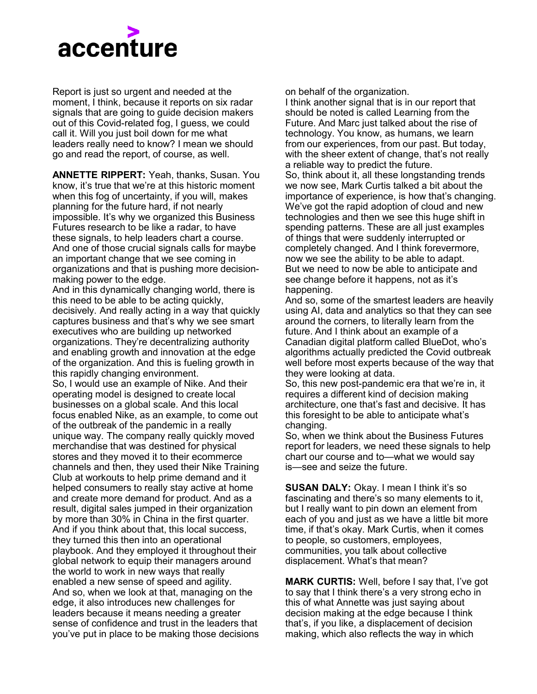

Report is just so urgent and needed at the moment, I think, because it reports on six radar signals that are going to guide decision makers out of this Covid-related fog, I guess, we could call it. Will you just boil down for me what leaders really need to know? I mean we should go and read the report, of course, as well.

**ANNETTE RIPPERT:** Yeah, thanks, Susan. You know, it's true that we're at this historic moment when this fog of uncertainty, if you will, makes planning for the future hard, if not nearly impossible. It's why we organized this Business Futures research to be like a radar, to have these signals, to help leaders chart a course. And one of those crucial signals calls for maybe an important change that we see coming in organizations and that is pushing more decisionmaking power to the edge.

And in this dynamically changing world, there is this need to be able to be acting quickly, decisively. And really acting in a way that quickly captures business and that's why we see smart executives who are building up networked organizations. They're decentralizing authority and enabling growth and innovation at the edge of the organization. And this is fueling growth in this rapidly changing environment. So, I would use an example of Nike. And their operating model is designed to create local businesses on a global scale. And this local focus enabled Nike, as an example, to come out of the outbreak of the pandemic in a really unique way. The company really quickly moved merchandise that was destined for physical stores and they moved it to their ecommerce channels and then, they used their Nike Training Club at workouts to help prime demand and it helped consumers to really stay active at home and create more demand for product. And as a result, digital sales jumped in their organization by more than 30% in China in the first quarter. And if you think about that, this local success, they turned this then into an operational playbook. And they employed it throughout their global network to equip their managers around the world to work in new ways that really enabled a new sense of speed and agility. And so, when we look at that, managing on the edge, it also introduces new challenges for leaders because it means needing a greater sense of confidence and trust in the leaders that you've put in place to be making those decisions

on behalf of the organization. I think another signal that is in our report that should be noted is called Learning from the Future. And Marc just talked about the rise of technology. You know, as humans, we learn from our experiences, from our past. But today, with the sheer extent of change, that's not really a reliable way to predict the future. So, think about it, all these longstanding trends we now see, Mark Curtis talked a bit about the importance of experience, is how that's changing. We've got the rapid adoption of cloud and new technologies and then we see this huge shift in spending patterns. These are all just examples of things that were suddenly interrupted or completely changed. And I think forevermore, now we see the ability to be able to adapt. But we need to now be able to anticipate and see change before it happens, not as it's happening.

And so, some of the smartest leaders are heavily using AI, data and analytics so that they can see around the corners, to literally learn from the future. And I think about an example of a Canadian digital platform called BlueDot, who's algorithms actually predicted the Covid outbreak well before most experts because of the way that they were looking at data.

So, this new post-pandemic era that we're in, it requires a different kind of decision making architecture, one that's fast and decisive. It has this foresight to be able to anticipate what's changing.

So, when we think about the Business Futures report for leaders, we need these signals to help chart our course and to—what we would say is—see and seize the future.

**SUSAN DALY:** Okay. I mean I think it's so fascinating and there's so many elements to it, but I really want to pin down an element from each of you and just as we have a little bit more time, if that's okay. Mark Curtis, when it comes to people, so customers, employees, communities, you talk about collective displacement. What's that mean?

**MARK CURTIS:** Well, before I say that, I've got to say that I think there's a very strong echo in this of what Annette was just saying about decision making at the edge because I think that's, if you like, a displacement of decision making, which also reflects the way in which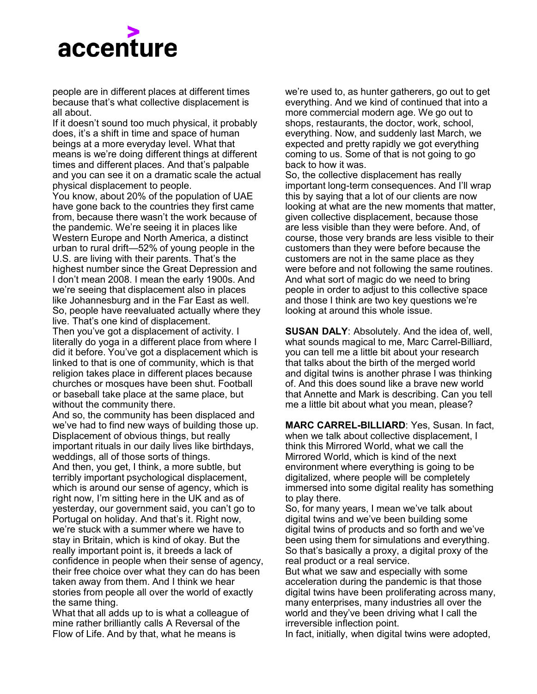

people are in different places at different times because that's what collective displacement is all about.

If it doesn't sound too much physical, it probably does, it's a shift in time and space of human beings at a more everyday level. What that means is we're doing different things at different times and different places. And that's palpable and you can see it on a dramatic scale the actual physical displacement to people.

You know, about 20% of the population of UAE have gone back to the countries they first came from, because there wasn't the work because of the pandemic. We're seeing it in places like Western Europe and North America, a distinct urban to rural drift—52% of young people in the U.S. are living with their parents. That's the highest number since the Great Depression and I don't mean 2008. I mean the early 1900s. And we're seeing that displacement also in places like Johannesburg and in the Far East as well. So, people have reevaluated actually where they live. That's one kind of displacement.

Then you've got a displacement of activity. I literally do yoga in a different place from where I did it before. You've got a displacement which is linked to that is one of community, which is that religion takes place in different places because churches or mosques have been shut. Football or baseball take place at the same place, but without the community there.

And so, the community has been displaced and we've had to find new ways of building those up. Displacement of obvious things, but really important rituals in our daily lives like birthdays, weddings, all of those sorts of things. And then, you get, I think, a more subtle, but terribly important psychological displacement, which is around our sense of agency, which is right now, I'm sitting here in the UK and as of yesterday, our government said, you can't go to Portugal on holiday. And that's it. Right now, we're stuck with a summer where we have to stay in Britain, which is kind of okay. But the really important point is, it breeds a lack of confidence in people when their sense of agency, their free choice over what they can do has been taken away from them. And I think we hear stories from people all over the world of exactly the same thing.

What that all adds up to is what a colleague of mine rather brilliantly calls A Reversal of the Flow of Life. And by that, what he means is

we're used to, as hunter gatherers, go out to get everything. And we kind of continued that into a more commercial modern age. We go out to shops, restaurants, the doctor, work, school, everything. Now, and suddenly last March, we expected and pretty rapidly we got everything coming to us. Some of that is not going to go back to how it was.

So, the collective displacement has really important long-term consequences. And I'll wrap this by saying that a lot of our clients are now looking at what are the new moments that matter, given collective displacement, because those are less visible than they were before. And, of course, those very brands are less visible to their customers than they were before because the customers are not in the same place as they were before and not following the same routines. And what sort of magic do we need to bring people in order to adjust to this collective space and those I think are two key questions we're looking at around this whole issue.

**SUSAN DALY**: Absolutely. And the idea of, well, what sounds magical to me, Marc Carrel-Billiard, you can tell me a little bit about your research that talks about the birth of the merged world and digital twins is another phrase I was thinking of. And this does sound like a brave new world that Annette and Mark is describing. Can you tell me a little bit about what you mean, please?

**MARC CARREL-BILLIARD**: Yes, Susan. In fact, when we talk about collective displacement, I think this Mirrored World, what we call the Mirrored World, which is kind of the next environment where everything is going to be digitalized, where people will be completely immersed into some digital reality has something to play there.

So, for many years, I mean we've talk about digital twins and we've been building some digital twins of products and so forth and we've been using them for simulations and everything. So that's basically a proxy, a digital proxy of the real product or a real service.

But what we saw and especially with some acceleration during the pandemic is that those digital twins have been proliferating across many, many enterprises, many industries all over the world and they've been driving what I call the irreversible inflection point.

In fact, initially, when digital twins were adopted,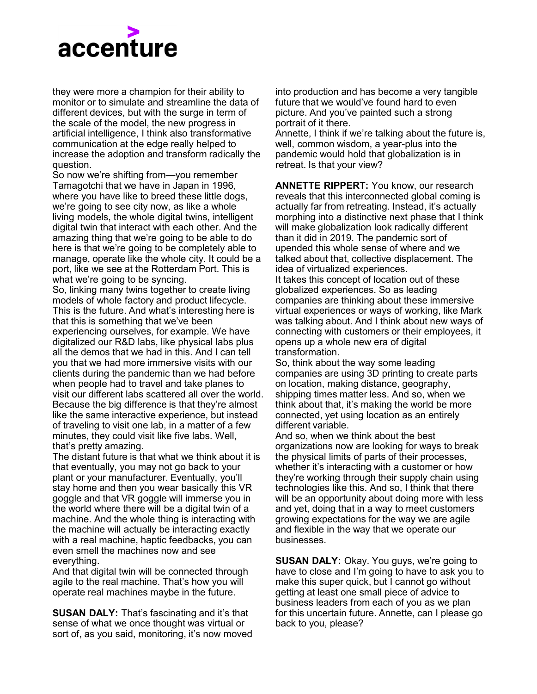

they were more a champion for their ability to monitor or to simulate and streamline the data of different devices, but with the surge in term of the scale of the model, the new progress in artificial intelligence, I think also transformative communication at the edge really helped to increase the adoption and transform radically the question.

So now we're shifting from—you remember Tamagotchi that we have in Japan in 1996, where you have like to breed these little dogs, we're going to see city now, as like a whole living models, the whole digital twins, intelligent digital twin that interact with each other. And the amazing thing that we're going to be able to do here is that we're going to be completely able to manage, operate like the whole city. It could be a port, like we see at the Rotterdam Port. This is what we're going to be syncing.

So, linking many twins together to create living models of whole factory and product lifecycle. This is the future. And what's interesting here is that this is something that we've been experiencing ourselves, for example. We have digitalized our R&D labs, like physical labs plus all the demos that we had in this. And I can tell you that we had more immersive visits with our clients during the pandemic than we had before when people had to travel and take planes to visit our different labs scattered all over the world. Because the big difference is that they're almost like the same interactive experience, but instead of traveling to visit one lab, in a matter of a few minutes, they could visit like five labs. Well, that's pretty amazing.

The distant future is that what we think about it is that eventually, you may not go back to your plant or your manufacturer. Eventually, you'll stay home and then you wear basically this VR goggle and that VR goggle will immerse you in the world where there will be a digital twin of a machine. And the whole thing is interacting with the machine will actually be interacting exactly with a real machine, haptic feedbacks, you can even smell the machines now and see everything.

And that digital twin will be connected through agile to the real machine. That's how you will operate real machines maybe in the future.

**SUSAN DALY:** That's fascinating and it's that sense of what we once thought was virtual or sort of, as you said, monitoring, it's now moved into production and has become a very tangible future that we would've found hard to even picture. And you've painted such a strong portrait of it there.

Annette, I think if we're talking about the future is, well, common wisdom, a year-plus into the pandemic would hold that globalization is in retreat. Is that your view?

**ANNETTE RIPPERT:** You know, our research reveals that this interconnected global coming is actually far from retreating. Instead, it's actually morphing into a distinctive next phase that I think will make globalization look radically different than it did in 2019. The pandemic sort of upended this whole sense of where and we talked about that, collective displacement. The idea of virtualized experiences.

It takes this concept of location out of these globalized experiences. So as leading companies are thinking about these immersive virtual experiences or ways of working, like Mark was talking about. And I think about new ways of connecting with customers or their employees, it opens up a whole new era of digital transformation.

So, think about the way some leading companies are using 3D printing to create parts on location, making distance, geography, shipping times matter less. And so, when we think about that, it's making the world be more connected, yet using location as an entirely different variable.

And so, when we think about the best organizations now are looking for ways to break the physical limits of parts of their processes, whether it's interacting with a customer or how they're working through their supply chain using technologies like this. And so, I think that there will be an opportunity about doing more with less and yet, doing that in a way to meet customers growing expectations for the way we are agile and flexible in the way that we operate our businesses.

**SUSAN DALY:** Okay. You guys, we're going to have to close and I'm going to have to ask you to make this super quick, but I cannot go without getting at least one small piece of advice to business leaders from each of you as we plan for this uncertain future. Annette, can I please go back to you, please?